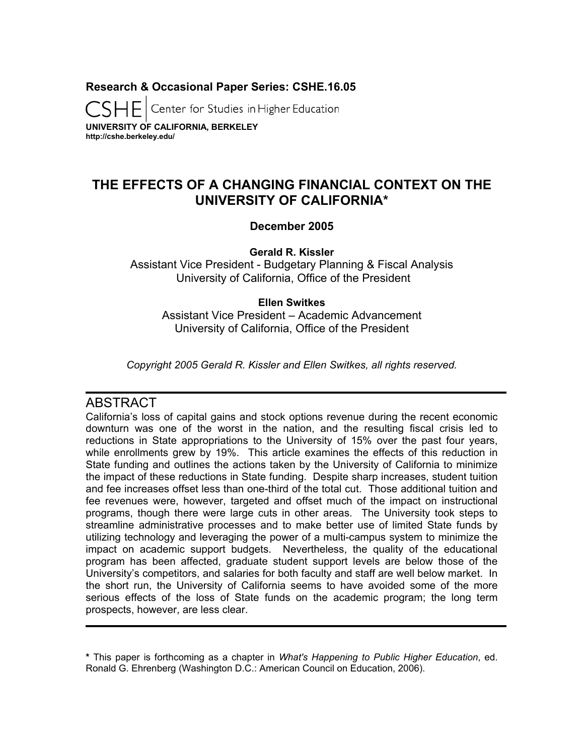**Research & Occasional Paper Series: CSHE.16.05** 

Center for Studies in Higher Education

**UNIVERSITY OF CALIFORNIA, BERKELEY http://cshe.berkeley.edu/**

# **THE EFFECTS OF A CHANGING FINANCIAL CONTEXT ON THE UNIVERSITY OF CALIFORNIA\***

# **December 2005**

**Gerald R. Kissler** 

Assistant Vice President - Budgetary Planning & Fiscal Analysis University of California, Office of the President

**Ellen Switkes** Assistant Vice President – Academic Advancement University of California, Office of the President

*Copyright 2005 Gerald R. Kissler and Ellen Switkes, all rights reserved.* 

# ABSTRACT

California's loss of capital gains and stock options revenue during the recent economic downturn was one of the worst in the nation, and the resulting fiscal crisis led to reductions in State appropriations to the University of 15% over the past four years, while enrollments grew by 19%. This article examines the effects of this reduction in State funding and outlines the actions taken by the University of California to minimize the impact of these reductions in State funding. Despite sharp increases, student tuition and fee increases offset less than one-third of the total cut. Those additional tuition and fee revenues were, however, targeted and offset much of the impact on instructional programs, though there were large cuts in other areas. The University took steps to streamline administrative processes and to make better use of limited State funds by utilizing technology and leveraging the power of a multi-campus system to minimize the impact on academic support budgets. Nevertheless, the quality of the educational program has been affected, graduate student support levels are below those of the University's competitors, and salaries for both faculty and staff are well below market. In the short run, the University of California seems to have avoided some of the more serious effects of the loss of State funds on the academic program; the long term prospects, however, are less clear.

**<sup>\*</sup>** This paper is forthcoming as a chapter in *What's Happening to Public Higher Education*, ed. Ronald G. Ehrenberg (Washington D.C.: American Council on Education, 2006).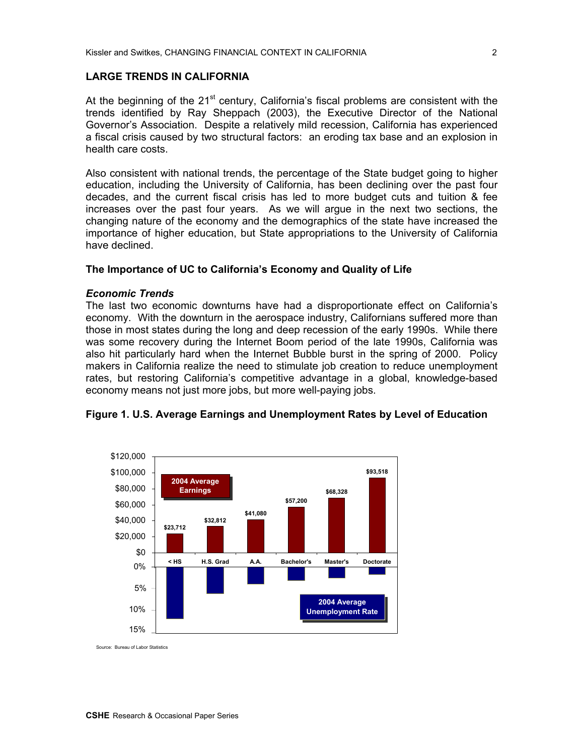#### **LARGE TRENDS IN CALIFORNIA**

At the beginning of the  $21<sup>st</sup>$  century, California's fiscal problems are consistent with the trends identified by Ray Sheppach (2003), the Executive Director of the National Governor's Association. Despite a relatively mild recession, California has experienced a fiscal crisis caused by two structural factors: an eroding tax base and an explosion in health care costs.

Also consistent with national trends, the percentage of the State budget going to higher education, including the University of California, has been declining over the past four decades, and the current fiscal crisis has led to more budget cuts and tuition & fee increases over the past four years. As we will argue in the next two sections, the changing nature of the economy and the demographics of the state have increased the importance of higher education, but State appropriations to the University of California have declined.

#### **The Importance of UC to California's Economy and Quality of Life**

#### *Economic Trends*

The last two economic downturns have had a disproportionate effect on California's economy. With the downturn in the aerospace industry, Californians suffered more than those in most states during the long and deep recession of the early 1990s. While there was some recovery during the Internet Boom period of the late 1990s, California was also hit particularly hard when the Internet Bubble burst in the spring of 2000. Policy makers in California realize the need to stimulate job creation to reduce unemployment rates, but restoring California's competitive advantage in a global, knowledge-based economy means not just more jobs, but more well-paying jobs.



**Figure 1. U.S. Average Earnings and Unemployment Rates by Level of Education** 

Source: Bureau of Labor Statistics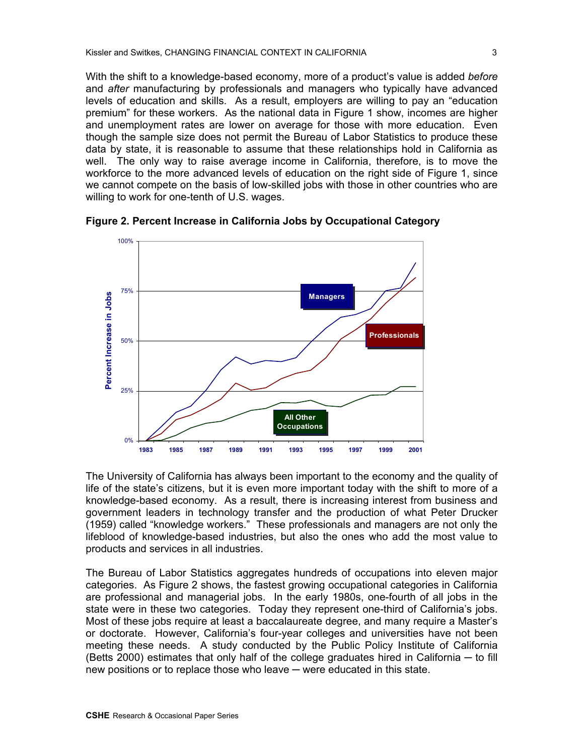With the shift to a knowledge-based economy, more of a product's value is added *before* and *after* manufacturing by professionals and managers who typically have advanced levels of education and skills. As a result, employers are willing to pay an "education premium" for these workers. As the national data in Figure 1 show, incomes are higher and unemployment rates are lower on average for those with more education. Even though the sample size does not permit the Bureau of Labor Statistics to produce these data by state, it is reasonable to assume that these relationships hold in California as well. The only way to raise average income in California, therefore, is to move the workforce to the more advanced levels of education on the right side of Figure 1, since we cannot compete on the basis of low-skilled jobs with those in other countries who are willing to work for one-tenth of U.S. wages.



**Figure 2. Percent Increase in California Jobs by Occupational Category**

The University of California has always been important to the economy and the quality of life of the state's citizens, but it is even more important today with the shift to more of a knowledge-based economy. As a result, there is increasing interest from business and government leaders in technology transfer and the production of what Peter Drucker (1959) called "knowledge workers." These professionals and managers are not only the lifeblood of knowledge-based industries, but also the ones who add the most value to products and services in all industries.

The Bureau of Labor Statistics aggregates hundreds of occupations into eleven major categories. As Figure 2 shows, the fastest growing occupational categories in California are professional and managerial jobs. In the early 1980s, one-fourth of all jobs in the state were in these two categories. Today they represent one-third of California's jobs. Most of these jobs require at least a baccalaureate degree, and many require a Master's or doctorate. However, California's four-year colleges and universities have not been meeting these needs. A study conducted by the Public Policy Institute of California (Betts 2000) estimates that only half of the college graduates hired in California  $-$  to fill new positions or to replace those who leave — were educated in this state.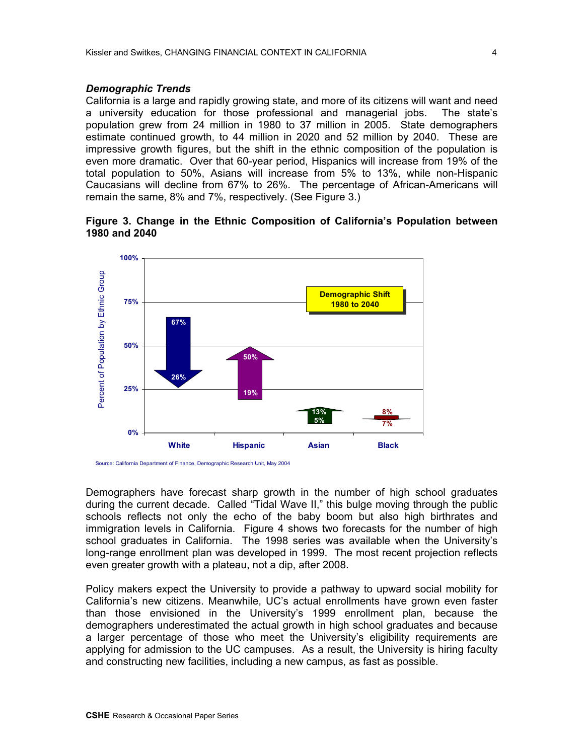#### *Demographic Trends*

California is a large and rapidly growing state, and more of its citizens will want and need a university education for those professional and managerial jobs. The state's population grew from 24 million in 1980 to 37 million in 2005. State demographers estimate continued growth, to 44 million in 2020 and 52 million by 2040. These are impressive growth figures, but the shift in the ethnic composition of the population is even more dramatic. Over that 60-year period, Hispanics will increase from 19% of the total population to 50%, Asians will increase from 5% to 13%, while non-Hispanic Caucasians will decline from 67% to 26%. The percentage of African-Americans will remain the same, 8% and 7%, respectively. (See Figure 3.)





Source: California Department of Finance, Demographic Research Unit, May 2004

Demographers have forecast sharp growth in the number of high school graduates during the current decade. Called "Tidal Wave II," this bulge moving through the public schools reflects not only the echo of the baby boom but also high birthrates and immigration levels in California. Figure 4 shows two forecasts for the number of high school graduates in California. The 1998 series was available when the University's long-range enrollment plan was developed in 1999. The most recent projection reflects even greater growth with a plateau, not a dip, after 2008.

Policy makers expect the University to provide a pathway to upward social mobility for California's new citizens. Meanwhile, UC's actual enrollments have grown even faster than those envisioned in the University's 1999 enrollment plan, because the demographers underestimated the actual growth in high school graduates and because a larger percentage of those who meet the University's eligibility requirements are applying for admission to the UC campuses. As a result, the University is hiring faculty and constructing new facilities, including a new campus, as fast as possible.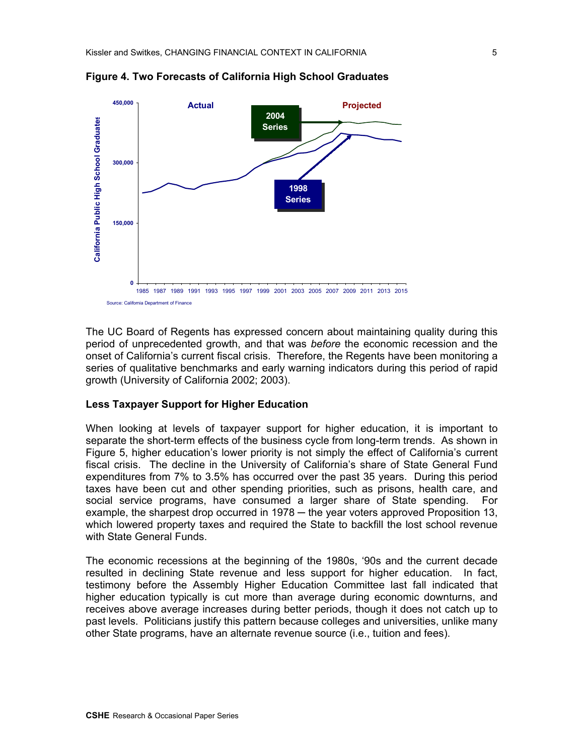

**Figure 4. Two Forecasts of California High School Graduates** 

The UC Board of Regents has expressed concern about maintaining quality during this period of unprecedented growth, and that was *before* the economic recession and the onset of California's current fiscal crisis. Therefore, the Regents have been monitoring a series of qualitative benchmarks and early warning indicators during this period of rapid growth (University of California 2002; 2003).

#### **Less Taxpayer Support for Higher Education**

When looking at levels of taxpayer support for higher education, it is important to separate the short-term effects of the business cycle from long-term trends. As shown in Figure 5, higher education's lower priority is not simply the effect of California's current fiscal crisis. The decline in the University of California's share of State General Fund expenditures from 7% to 3.5% has occurred over the past 35 years. During this period taxes have been cut and other spending priorities, such as prisons, health care, and social service programs, have consumed a larger share of State spending. For example, the sharpest drop occurred in 1978 — the year voters approved Proposition 13, which lowered property taxes and required the State to backfill the lost school revenue with State General Funds.

The economic recessions at the beginning of the 1980s, '90s and the current decade resulted in declining State revenue and less support for higher education. In fact, testimony before the Assembly Higher Education Committee last fall indicated that higher education typically is cut more than average during economic downturns, and receives above average increases during better periods, though it does not catch up to past levels. Politicians justify this pattern because colleges and universities, unlike many other State programs, have an alternate revenue source (i.e., tuition and fees).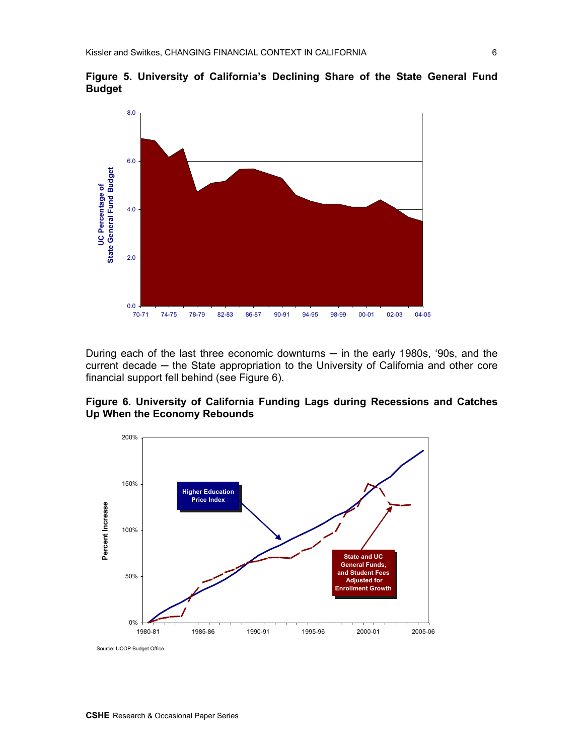**Figure 5. University of California's Declining Share of the State General Fund Budget** 



During each of the last three economic downturns  $-$  in the early 1980s, '90s, and the current decade — the State appropriation to the University of California and other core financial support fell behind (see Figure 6).



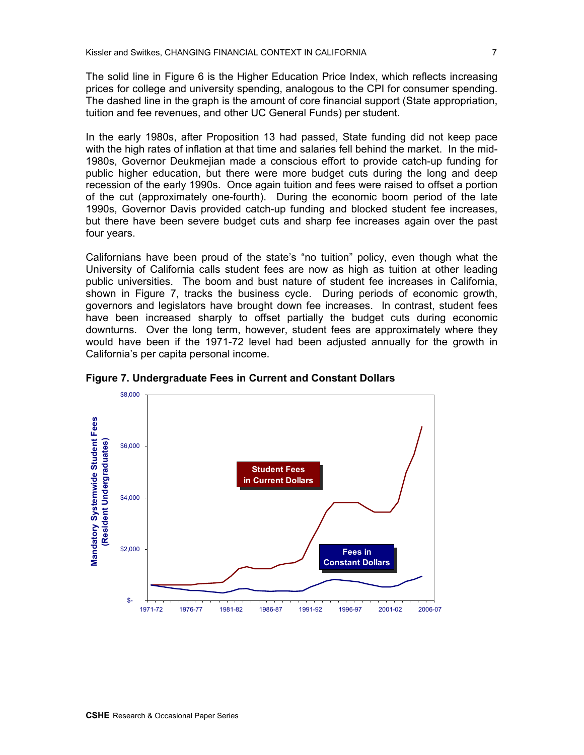The solid line in Figure 6 is the Higher Education Price Index, which reflects increasing prices for college and university spending, analogous to the CPI for consumer spending. The dashed line in the graph is the amount of core financial support (State appropriation, tuition and fee revenues, and other UC General Funds) per student.

In the early 1980s, after Proposition 13 had passed, State funding did not keep pace with the high rates of inflation at that time and salaries fell behind the market. In the mid-1980s, Governor Deukmejian made a conscious effort to provide catch-up funding for public higher education, but there were more budget cuts during the long and deep recession of the early 1990s. Once again tuition and fees were raised to offset a portion of the cut (approximately one-fourth). During the economic boom period of the late 1990s, Governor Davis provided catch-up funding and blocked student fee increases, but there have been severe budget cuts and sharp fee increases again over the past four years.

Californians have been proud of the state's "no tuition" policy, even though what the University of California calls student fees are now as high as tuition at other leading public universities. The boom and bust nature of student fee increases in California, shown in Figure 7, tracks the business cycle. During periods of economic growth, governors and legislators have brought down fee increases. In contrast, student fees have been increased sharply to offset partially the budget cuts during economic downturns. Over the long term, however, student fees are approximately where they would have been if the 1971-72 level had been adjusted annually for the growth in California's per capita personal income.



**Figure 7. Undergraduate Fees in Current and Constant Dollars**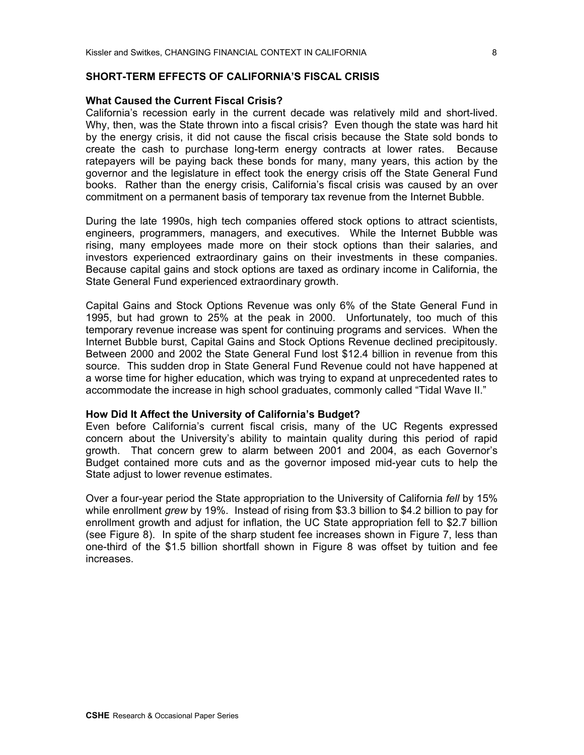#### **SHORT-TERM EFFECTS OF CALIFORNIA'S FISCAL CRISIS**

### **What Caused the Current Fiscal Crisis?**

California's recession early in the current decade was relatively mild and short-lived. Why, then, was the State thrown into a fiscal crisis? Even though the state was hard hit by the energy crisis, it did not cause the fiscal crisis because the State sold bonds to create the cash to purchase long-term energy contracts at lower rates. Because ratepayers will be paying back these bonds for many, many years, this action by the governor and the legislature in effect took the energy crisis off the State General Fund books. Rather than the energy crisis, California's fiscal crisis was caused by an over commitment on a permanent basis of temporary tax revenue from the Internet Bubble.

During the late 1990s, high tech companies offered stock options to attract scientists, engineers, programmers, managers, and executives. While the Internet Bubble was rising, many employees made more on their stock options than their salaries, and investors experienced extraordinary gains on their investments in these companies. Because capital gains and stock options are taxed as ordinary income in California, the State General Fund experienced extraordinary growth.

Capital Gains and Stock Options Revenue was only 6% of the State General Fund in 1995, but had grown to 25% at the peak in 2000. Unfortunately, too much of this temporary revenue increase was spent for continuing programs and services. When the Internet Bubble burst, Capital Gains and Stock Options Revenue declined precipitously. Between 2000 and 2002 the State General Fund lost \$12.4 billion in revenue from this source. This sudden drop in State General Fund Revenue could not have happened at a worse time for higher education, which was trying to expand at unprecedented rates to accommodate the increase in high school graduates, commonly called "Tidal Wave II."

#### **How Did It Affect the University of California's Budget?**

Even before California's current fiscal crisis, many of the UC Regents expressed concern about the University's ability to maintain quality during this period of rapid growth. That concern grew to alarm between 2001 and 2004, as each Governor's Budget contained more cuts and as the governor imposed mid-year cuts to help the State adjust to lower revenue estimates.

Over a four-year period the State appropriation to the University of California *fell* by 15% while enrollment *grew* by 19%. Instead of rising from \$3.3 billion to \$4.2 billion to pay for enrollment growth and adjust for inflation, the UC State appropriation fell to \$2.7 billion (see Figure 8). In spite of the sharp student fee increases shown in Figure 7, less than one-third of the \$1.5 billion shortfall shown in Figure 8 was offset by tuition and fee increases.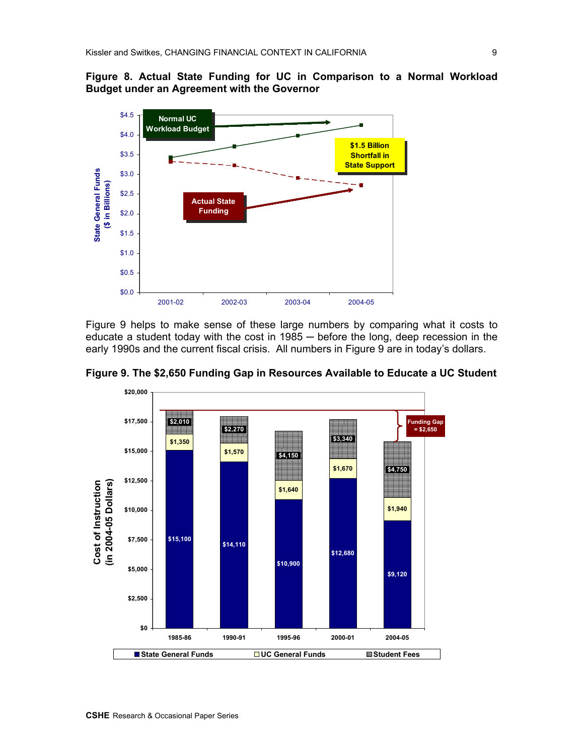



Figure 9 helps to make sense of these large numbers by comparing what it costs to educate a student today with the cost in 1985 – before the long, deep recession in the early 1990s and the current fiscal crisis. All numbers in Figure 9 are in today's dollars.



**Figure 9. The \$2,650 Funding Gap in Resources Available to Educate a UC Student**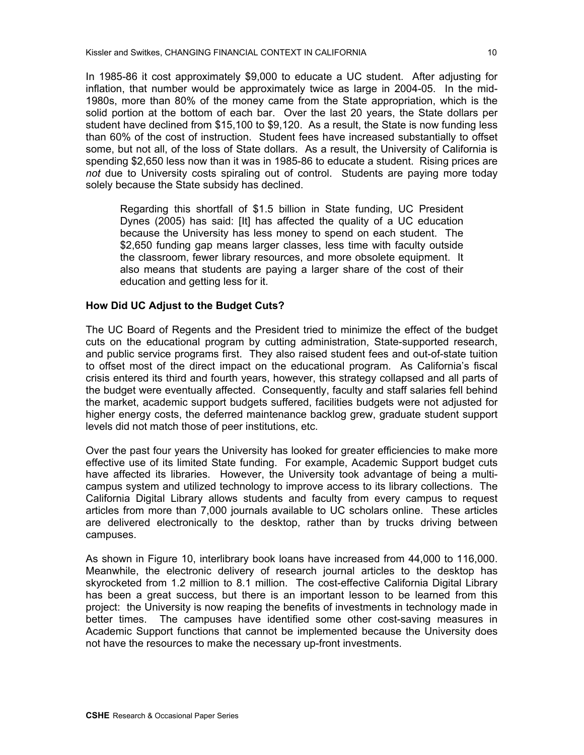In 1985-86 it cost approximately \$9,000 to educate a UC student. After adjusting for inflation, that number would be approximately twice as large in 2004-05. In the mid-1980s, more than 80% of the money came from the State appropriation, which is the solid portion at the bottom of each bar. Over the last 20 years, the State dollars per student have declined from \$15,100 to \$9,120. As a result, the State is now funding less than 60% of the cost of instruction. Student fees have increased substantially to offset some, but not all, of the loss of State dollars. As a result, the University of California is spending \$2,650 less now than it was in 1985-86 to educate a student. Rising prices are *not* due to University costs spiraling out of control. Students are paying more today solely because the State subsidy has declined.

Regarding this shortfall of \$1.5 billion in State funding, UC President Dynes (2005) has said: [It] has affected the quality of a UC education because the University has less money to spend on each student. The \$2,650 funding gap means larger classes, less time with faculty outside the classroom, fewer library resources, and more obsolete equipment. It also means that students are paying a larger share of the cost of their education and getting less for it.

## **How Did UC Adjust to the Budget Cuts?**

The UC Board of Regents and the President tried to minimize the effect of the budget cuts on the educational program by cutting administration, State-supported research, and public service programs first. They also raised student fees and out-of-state tuition to offset most of the direct impact on the educational program. As California's fiscal crisis entered its third and fourth years, however, this strategy collapsed and all parts of the budget were eventually affected. Consequently, faculty and staff salaries fell behind the market, academic support budgets suffered, facilities budgets were not adjusted for higher energy costs, the deferred maintenance backlog grew, graduate student support levels did not match those of peer institutions, etc.

Over the past four years the University has looked for greater efficiencies to make more effective use of its limited State funding. For example, Academic Support budget cuts have affected its libraries. However, the University took advantage of being a multicampus system and utilized technology to improve access to its library collections. The California Digital Library allows students and faculty from every campus to request articles from more than 7,000 journals available to UC scholars online. These articles are delivered electronically to the desktop, rather than by trucks driving between campuses.

As shown in Figure 10, interlibrary book loans have increased from 44,000 to 116,000. Meanwhile, the electronic delivery of research journal articles to the desktop has skyrocketed from 1.2 million to 8.1 million. The cost-effective California Digital Library has been a great success, but there is an important lesson to be learned from this project: the University is now reaping the benefits of investments in technology made in better times. The campuses have identified some other cost-saving measures in Academic Support functions that cannot be implemented because the University does not have the resources to make the necessary up-front investments.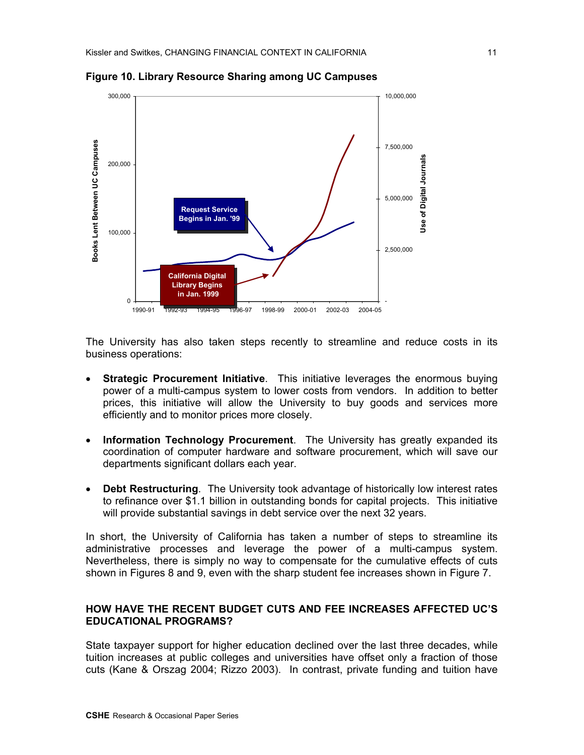

**Figure 10. Library Resource Sharing among UC Campuses** 

The University has also taken steps recently to streamline and reduce costs in its business operations:

- **Strategic Procurement Initiative**. This initiative leverages the enormous buying power of a multi-campus system to lower costs from vendors. In addition to better prices, this initiative will allow the University to buy goods and services more efficiently and to monitor prices more closely.
- **Information Technology Procurement**. The University has greatly expanded its coordination of computer hardware and software procurement, which will save our departments significant dollars each year.
- **Debt Restructuring.** The University took advantage of historically low interest rates to refinance over \$1.1 billion in outstanding bonds for capital projects. This initiative will provide substantial savings in debt service over the next 32 years.

In short, the University of California has taken a number of steps to streamline its administrative processes and leverage the power of a multi-campus system. Nevertheless, there is simply no way to compensate for the cumulative effects of cuts shown in Figures 8 and 9, even with the sharp student fee increases shown in Figure 7.

# **HOW HAVE THE RECENT BUDGET CUTS AND FEE INCREASES AFFECTED UC'S EDUCATIONAL PROGRAMS?**

State taxpayer support for higher education declined over the last three decades, while tuition increases at public colleges and universities have offset only a fraction of those cuts (Kane & Orszag 2004; Rizzo 2003). In contrast, private funding and tuition have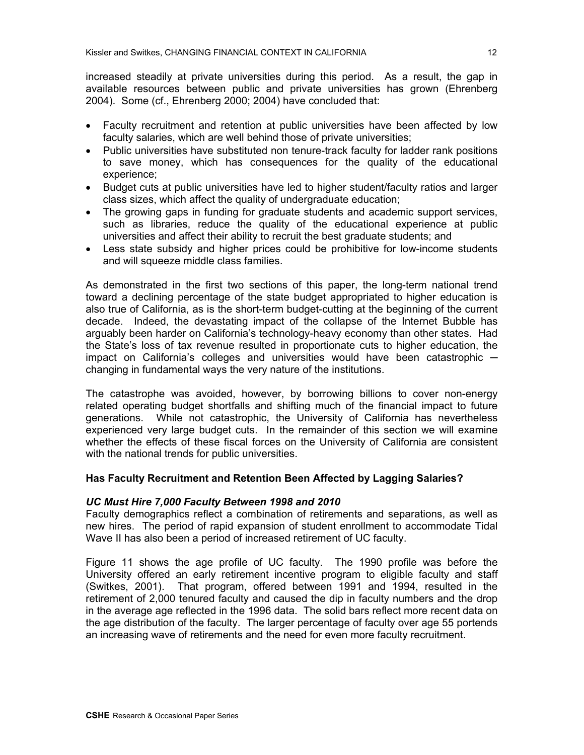increased steadily at private universities during this period. As a result, the gap in available resources between public and private universities has grown (Ehrenberg 2004). Some (cf., Ehrenberg 2000; 2004) have concluded that:

- Faculty recruitment and retention at public universities have been affected by low faculty salaries, which are well behind those of private universities;
- Public universities have substituted non tenure-track faculty for ladder rank positions to save money, which has consequences for the quality of the educational experience;
- Budget cuts at public universities have led to higher student/faculty ratios and larger class sizes, which affect the quality of undergraduate education;
- The growing gaps in funding for graduate students and academic support services, such as libraries, reduce the quality of the educational experience at public universities and affect their ability to recruit the best graduate students; and
- Less state subsidy and higher prices could be prohibitive for low-income students and will squeeze middle class families.

As demonstrated in the first two sections of this paper, the long-term national trend toward a declining percentage of the state budget appropriated to higher education is also true of California, as is the short-term budget-cutting at the beginning of the current decade. Indeed, the devastating impact of the collapse of the Internet Bubble has arguably been harder on California's technology-heavy economy than other states. Had the State's loss of tax revenue resulted in proportionate cuts to higher education, the impact on California's colleges and universities would have been catastrophic  $$ changing in fundamental ways the very nature of the institutions.

The catastrophe was avoided, however, by borrowing billions to cover non-energy related operating budget shortfalls and shifting much of the financial impact to future generations. While not catastrophic, the University of California has nevertheless experienced very large budget cuts. In the remainder of this section we will examine whether the effects of these fiscal forces on the University of California are consistent with the national trends for public universities.

# **Has Faculty Recruitment and Retention Been Affected by Lagging Salaries?**

## *UC Must Hire 7,000 Faculty Between 1998 and 2010*

Faculty demographics reflect a combination of retirements and separations, as well as new hires. The period of rapid expansion of student enrollment to accommodate Tidal Wave II has also been a period of increased retirement of UC faculty.

Figure 11 shows the age profile of UC faculty. The 1990 profile was before the University offered an early retirement incentive program to eligible faculty and staff (Switkes, 2001). That program, offered between 1991 and 1994, resulted in the retirement of 2,000 tenured faculty and caused the dip in faculty numbers and the drop in the average age reflected in the 1996 data. The solid bars reflect more recent data on the age distribution of the faculty. The larger percentage of faculty over age 55 portends an increasing wave of retirements and the need for even more faculty recruitment.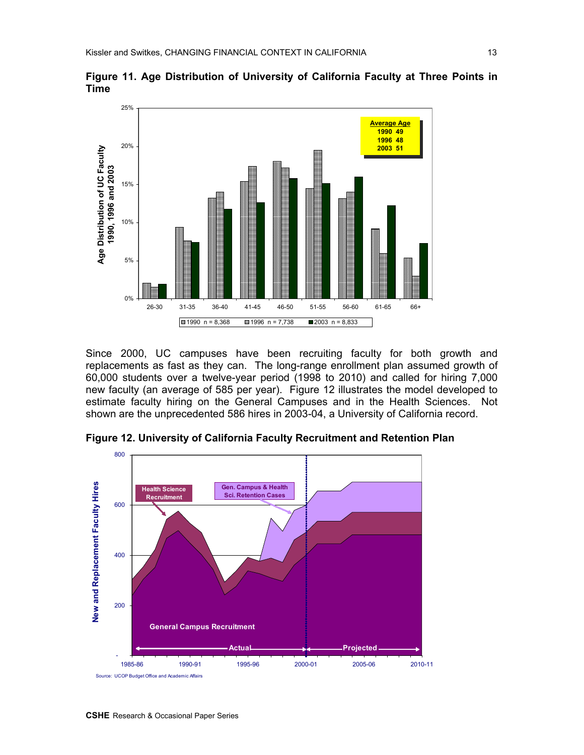

**Figure 11. Age Distribution of University of California Faculty at Three Points in Time** 

Since 2000, UC campuses have been recruiting faculty for both growth and replacements as fast as they can. The long-range enrollment plan assumed growth of 60,000 students over a twelve-year period (1998 to 2010) and called for hiring 7,000 new faculty (an average of 585 per year). Figure 12 illustrates the model developed to estimate faculty hiring on the General Campuses and in the Health Sciences. Not shown are the unprecedented 586 hires in 2003-04, a University of California record.



**Figure 12. University of California Faculty Recruitment and Retention Plan**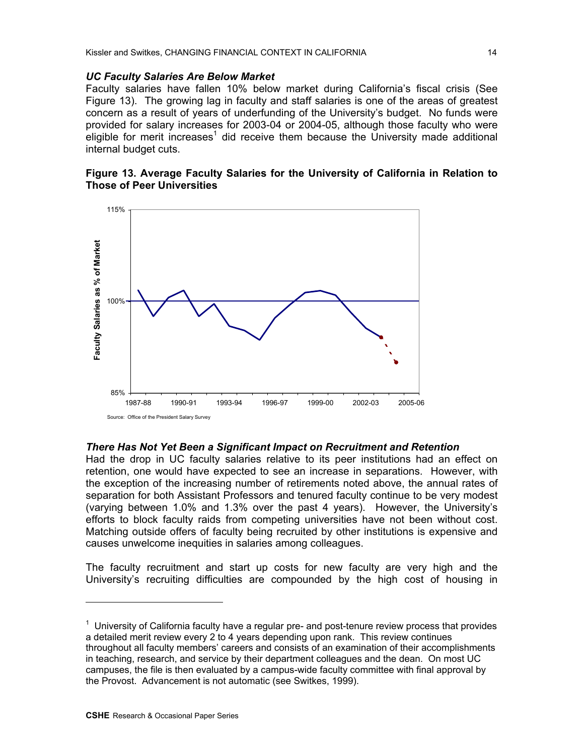#### *UC Faculty Salaries Are Below Market*

Faculty salaries have fallen 10% below market during California's fiscal crisis (See Figure 13). The growing lag in faculty and staff salaries is one of the areas of greatest concern as a result of years of underfunding of the University's budget. No funds were provided for salary increases for 2003-04 or 2004-05, although those faculty who were eligible for merit increases<sup>[1](#page-13-0)</sup> did receive them because the University made additional internal budget cuts.

## **Figure 13. Average Faculty Salaries for the University of California in Relation to Those of Peer Universities**



## *There Has Not Yet Been a Significant Impact on Recruitment and Retention*

Had the drop in UC faculty salaries relative to its peer institutions had an effect on retention, one would have expected to see an increase in separations. However, with the exception of the increasing number of retirements noted above, the annual rates of separation for both Assistant Professors and tenured faculty continue to be very modest (varying between 1.0% and 1.3% over the past 4 years). However, the University's efforts to block faculty raids from competing universities have not been without cost. Matching outside offers of faculty being recruited by other institutions is expensive and causes unwelcome inequities in salaries among colleagues.

The faculty recruitment and start up costs for new faculty are very high and the University's recruiting difficulties are compounded by the high cost of housing in

 $\overline{a}$ 

<span id="page-13-0"></span> $1$  University of California faculty have a regular pre- and post-tenure review process that provides a detailed merit review every 2 to 4 years depending upon rank. This review continues throughout all faculty members' careers and consists of an examination of their accomplishments in teaching, research, and service by their department colleagues and the dean. On most UC campuses, the file is then evaluated by a campus-wide faculty committee with final approval by the Provost. Advancement is not automatic (see Switkes, 1999).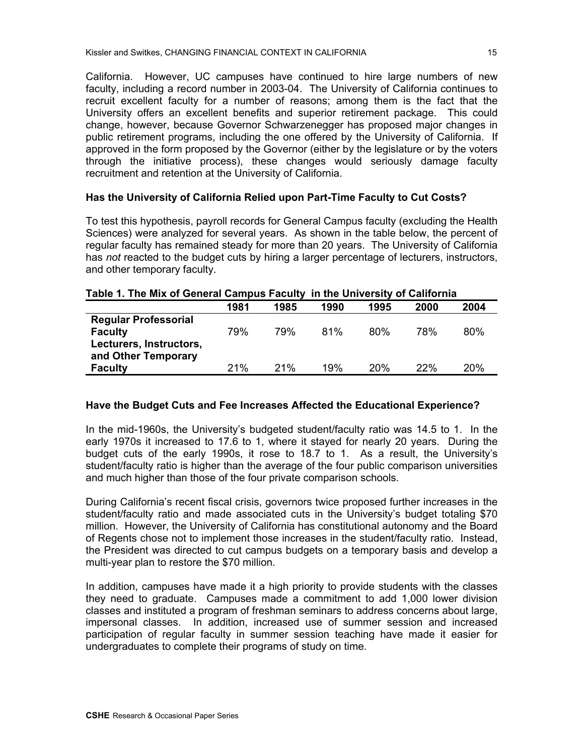California. However, UC campuses have continued to hire large numbers of new faculty, including a record number in 2003-04. The University of California continues to recruit excellent faculty for a number of reasons; among them is the fact that the University offers an excellent benefits and superior retirement package. This could change, however, because Governor Schwarzenegger has proposed major changes in public retirement programs, including the one offered by the University of California. If approved in the form proposed by the Governor (either by the legislature or by the voters through the initiative process), these changes would seriously damage faculty recruitment and retention at the University of California.

## **Has the University of California Relied upon Part-Time Faculty to Cut Costs?**

To test this hypothesis, payroll records for General Campus faculty (excluding the Health Sciences) were analyzed for several years. As shown in the table below, the percent of regular faculty has remained steady for more than 20 years. The University of California has *not* reacted to the budget cuts by hiring a larger percentage of lecturers, instructors, and other temporary faculty.

|                             | 1981 | 1985 | 1990 | 1995 | 2000 | 2004 |
|-----------------------------|------|------|------|------|------|------|
| <b>Regular Professorial</b> |      |      |      |      |      |      |
| <b>Faculty</b>              | 79%  | 79%  | 81%  | 80%  | 78%  | 80%  |
| Lecturers, Instructors,     |      |      |      |      |      |      |
| and Other Temporary         |      |      |      |      |      |      |
| <b>Faculty</b>              | 21%  | 21%  | 19%  | 20%  | 22%  | 20%  |

## **Table 1. The Mix of General Campus Faculty in the University of California**

# **Have the Budget Cuts and Fee Increases Affected the Educational Experience?**

In the mid-1960s, the University's budgeted student/faculty ratio was 14.5 to 1. In the early 1970s it increased to 17.6 to 1, where it stayed for nearly 20 years. During the budget cuts of the early 1990s, it rose to 18.7 to 1. As a result, the University's student/faculty ratio is higher than the average of the four public comparison universities and much higher than those of the four private comparison schools.

During California's recent fiscal crisis, governors twice proposed further increases in the student/faculty ratio and made associated cuts in the University's budget totaling \$70 million. However, the University of California has constitutional autonomy and the Board of Regents chose not to implement those increases in the student/faculty ratio. Instead, the President was directed to cut campus budgets on a temporary basis and develop a multi-year plan to restore the \$70 million.

In addition, campuses have made it a high priority to provide students with the classes they need to graduate. Campuses made a commitment to add 1,000 lower division classes and instituted a program of freshman seminars to address concerns about large, impersonal classes. In addition, increased use of summer session and increased participation of regular faculty in summer session teaching have made it easier for undergraduates to complete their programs of study on time.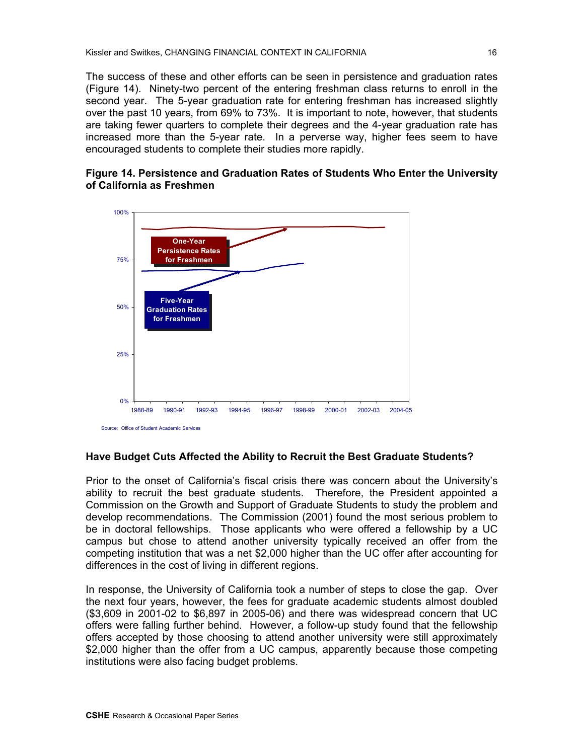The success of these and other efforts can be seen in persistence and graduation rates (Figure 14). Ninety-two percent of the entering freshman class returns to enroll in the second year. The 5-year graduation rate for entering freshman has increased slightly over the past 10 years, from 69% to 73%. It is important to note, however, that students are taking fewer quarters to complete their degrees and the 4-year graduation rate has increased more than the 5-year rate. In a perverse way, higher fees seem to have encouraged students to complete their studies more rapidly.

## **Figure 14. Persistence and Graduation Rates of Students Who Enter the University of California as Freshmen**



#### **Have Budget Cuts Affected the Ability to Recruit the Best Graduate Students?**

Prior to the onset of California's fiscal crisis there was concern about the University's ability to recruit the best graduate students. Therefore, the President appointed a Commission on the Growth and Support of Graduate Students to study the problem and develop recommendations. The Commission (2001) found the most serious problem to be in doctoral fellowships. Those applicants who were offered a fellowship by a UC campus but chose to attend another university typically received an offer from the competing institution that was a net \$2,000 higher than the UC offer after accounting for differences in the cost of living in different regions.

In response, the University of California took a number of steps to close the gap. Over the next four years, however, the fees for graduate academic students almost doubled (\$3,609 in 2001-02 to \$6,897 in 2005-06) and there was widespread concern that UC offers were falling further behind. However, a follow-up study found that the fellowship offers accepted by those choosing to attend another university were still approximately \$2,000 higher than the offer from a UC campus, apparently because those competing institutions were also facing budget problems.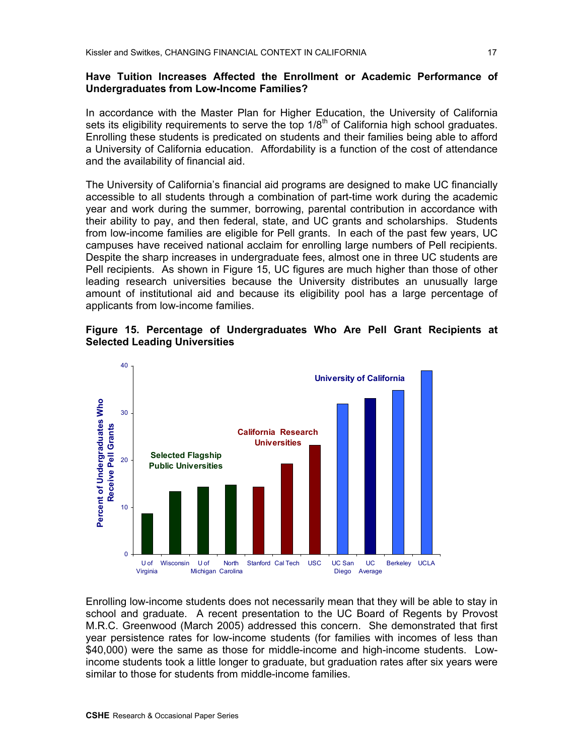## **Have Tuition Increases Affected the Enrollment or Academic Performance of Undergraduates from Low-Income Families?**

In accordance with the Master Plan for Higher Education, the University of California sets its eligibility requirements to serve the top  $1/8<sup>th</sup>$  of California high school graduates. Enrolling these students is predicated on students and their families being able to afford a University of California education. Affordability is a function of the cost of attendance and the availability of financial aid.

The University of California's financial aid programs are designed to make UC financially accessible to all students through a combination of part-time work during the academic year and work during the summer, borrowing, parental contribution in accordance with their ability to pay, and then federal, state, and UC grants and scholarships. Students from low-income families are eligible for Pell grants. In each of the past few years, UC campuses have received national acclaim for enrolling large numbers of Pell recipients. Despite the sharp increases in undergraduate fees, almost one in three UC students are Pell recipients. As shown in Figure 15, UC figures are much higher than those of other leading research universities because the University distributes an unusually large amount of institutional aid and because its eligibility pool has a large percentage of applicants from low-income families.





Enrolling low-income students does not necessarily mean that they will be able to stay in school and graduate. A recent presentation to the UC Board of Regents by Provost M.R.C. Greenwood (March 2005) addressed this concern. She demonstrated that first year persistence rates for low-income students (for families with incomes of less than \$40,000) were the same as those for middle-income and high-income students. Lowincome students took a little longer to graduate, but graduation rates after six years were similar to those for students from middle-income families.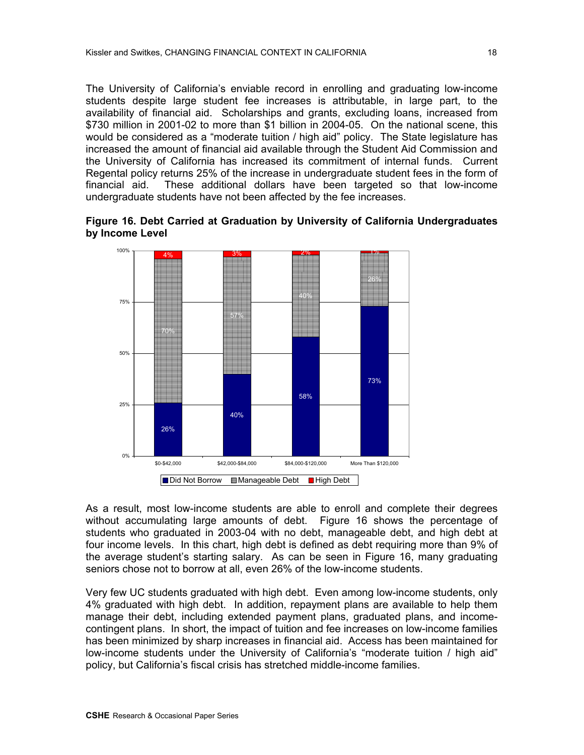The University of California's enviable record in enrolling and graduating low-income students despite large student fee increases is attributable, in large part, to the availability of financial aid. Scholarships and grants, excluding loans, increased from \$730 million in 2001-02 to more than \$1 billion in 2004-05. On the national scene, this would be considered as a "moderate tuition / high aid" policy. The State legislature has increased the amount of financial aid available through the Student Aid Commission and the University of California has increased its commitment of internal funds. Current Regental policy returns 25% of the increase in undergraduate student fees in the form of financial aid. These additional dollars have been targeted so that low-income undergraduate students have not been affected by the fee increases.





As a result, most low-income students are able to enroll and complete their degrees without accumulating large amounts of debt. Figure 16 shows the percentage of students who graduated in 2003-04 with no debt, manageable debt, and high debt at four income levels. In this chart, high debt is defined as debt requiring more than 9% of the average student's starting salary. As can be seen in Figure 16, many graduating seniors chose not to borrow at all, even 26% of the low-income students.

Very few UC students graduated with high debt. Even among low-income students, only 4% graduated with high debt. In addition, repayment plans are available to help them manage their debt, including extended payment plans, graduated plans, and incomecontingent plans. In short, the impact of tuition and fee increases on low-income families has been minimized by sharp increases in financial aid. Access has been maintained for low-income students under the University of California's "moderate tuition / high aid" policy, but California's fiscal crisis has stretched middle-income families.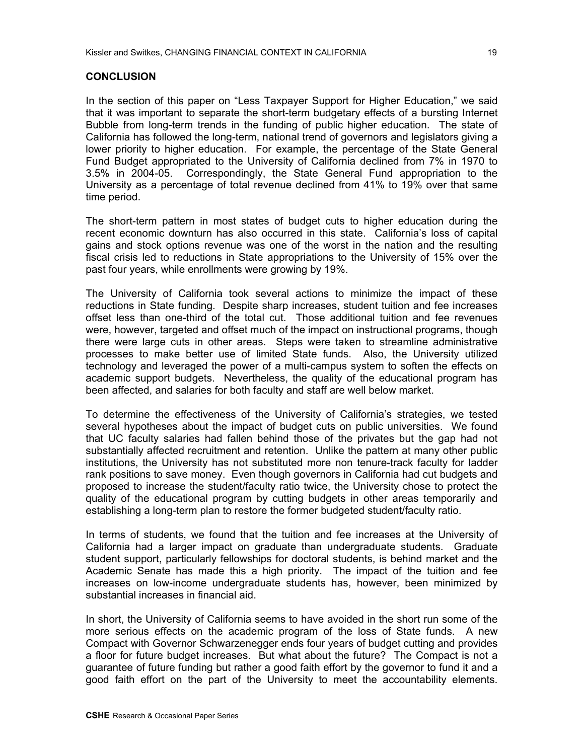## **CONCLUSION**

In the section of this paper on "Less Taxpayer Support for Higher Education," we said that it was important to separate the short-term budgetary effects of a bursting Internet Bubble from long-term trends in the funding of public higher education. The state of California has followed the long-term, national trend of governors and legislators giving a lower priority to higher education. For example, the percentage of the State General Fund Budget appropriated to the University of California declined from 7% in 1970 to 3.5% in 2004-05. Correspondingly, the State General Fund appropriation to the University as a percentage of total revenue declined from 41% to 19% over that same time period.

The short-term pattern in most states of budget cuts to higher education during the recent economic downturn has also occurred in this state. California's loss of capital gains and stock options revenue was one of the worst in the nation and the resulting fiscal crisis led to reductions in State appropriations to the University of 15% over the past four years, while enrollments were growing by 19%.

The University of California took several actions to minimize the impact of these reductions in State funding. Despite sharp increases, student tuition and fee increases offset less than one-third of the total cut. Those additional tuition and fee revenues were, however, targeted and offset much of the impact on instructional programs, though there were large cuts in other areas. Steps were taken to streamline administrative processes to make better use of limited State funds. Also, the University utilized technology and leveraged the power of a multi-campus system to soften the effects on academic support budgets. Nevertheless, the quality of the educational program has been affected, and salaries for both faculty and staff are well below market.

To determine the effectiveness of the University of California's strategies, we tested several hypotheses about the impact of budget cuts on public universities. We found that UC faculty salaries had fallen behind those of the privates but the gap had not substantially affected recruitment and retention. Unlike the pattern at many other public institutions, the University has not substituted more non tenure-track faculty for ladder rank positions to save money. Even though governors in California had cut budgets and proposed to increase the student/faculty ratio twice, the University chose to protect the quality of the educational program by cutting budgets in other areas temporarily and establishing a long-term plan to restore the former budgeted student/faculty ratio.

In terms of students, we found that the tuition and fee increases at the University of California had a larger impact on graduate than undergraduate students. Graduate student support, particularly fellowships for doctoral students, is behind market and the Academic Senate has made this a high priority. The impact of the tuition and fee increases on low-income undergraduate students has, however, been minimized by substantial increases in financial aid.

In short, the University of California seems to have avoided in the short run some of the more serious effects on the academic program of the loss of State funds. A new Compact with Governor Schwarzenegger ends four years of budget cutting and provides a floor for future budget increases. But what about the future? The Compact is not a guarantee of future funding but rather a good faith effort by the governor to fund it and a good faith effort on the part of the University to meet the accountability elements.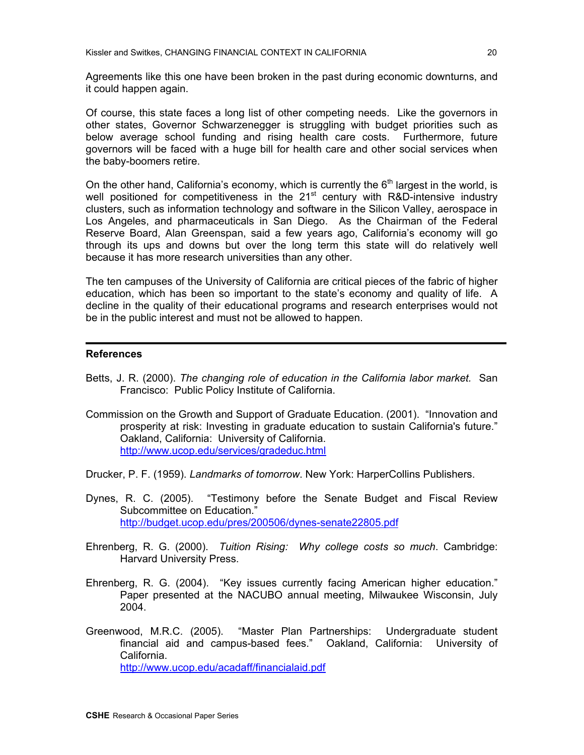Agreements like this one have been broken in the past during economic downturns, and it could happen again.

Of course, this state faces a long list of other competing needs. Like the governors in other states, Governor Schwarzenegger is struggling with budget priorities such as below average school funding and rising health care costs. Furthermore, future governors will be faced with a huge bill for health care and other social services when the baby-boomers retire.

On the other hand, California's economy, which is currently the  $6<sup>th</sup>$  largest in the world, is well positioned for competitiveness in the 21<sup>st</sup> century with R&D-intensive industry clusters, such as information technology and software in the Silicon Valley, aerospace in Los Angeles, and pharmaceuticals in San Diego. As the Chairman of the Federal Reserve Board, Alan Greenspan, said a few years ago, California's economy will go through its ups and downs but over the long term this state will do relatively well because it has more research universities than any other.

The ten campuses of the University of California are critical pieces of the fabric of higher education, which has been so important to the state's economy and quality of life. A decline in the quality of their educational programs and research enterprises would not be in the public interest and must not be allowed to happen.

### **References**

- Betts, J. R. (2000). *The changing role of education in the California labor market.* San Francisco: Public Policy Institute of California.
- Commission on the Growth and Support of Graduate Education. (2001). "[Innovation](http://www.ucop.edu/services/innovation.pdf) and prosperity at risk: Investing in graduate education to sustain [California's](http://www.ucop.edu/services/innovation.pdf) future." Oakland, California: University of California. <http://www.ucop.edu/services/gradeduc.html>
- Drucker, P. F. (1959). *Landmarks of tomorrow*. New York: HarperCollins Publishers.
- Dynes, R. C. (2005). "Testimony before the Senate Budget and Fiscal Review Subcommittee on Education." <http://budget.ucop.edu/pres/200506/dynes-senate22805.pdf>
- Ehrenberg, R. G. (2000). *Tuition Rising: Why college costs so much*. Cambridge: Harvard University Press.
- Ehrenberg, R. G. (2004). "Key issues currently facing American higher education." Paper presented at the NACUBO annual meeting, Milwaukee Wisconsin, July 2004.
- Greenwood, M.R.C. (2005). "Master Plan Partnerships: Undergraduate student financial aid and campus-based fees." Oakland, California: University of California. <http://www.ucop.edu/acadaff/financialaid.pdf>